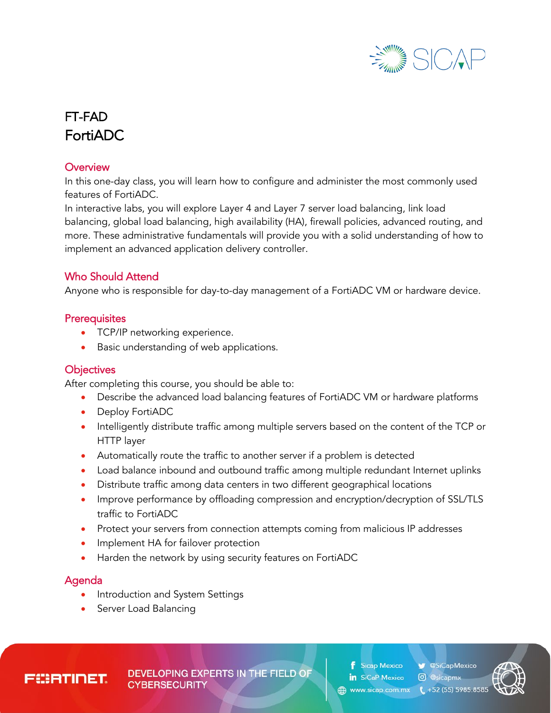

# FT-FAD FortiADC

#### **Overview**

In this one-day class, you will learn how to configure and administer the most commonly used features of FortiADC.

In interactive labs, you will explore Layer 4 and Layer 7 server load balancing, link load balancing, global load balancing, high availability (HA), firewall policies, advanced routing, and more. These administrative fundamentals will provide you with a solid understanding of how to implement an advanced application delivery controller.

## Who Should Attend

Anyone who is responsible for day-to-day management of a FortiADC VM or hardware device.

## **Prerequisites**

- TCP/IP networking experience.
- Basic understanding of web applications.

#### **Objectives**

After completing this course, you should be able to:

- Describe the advanced load balancing features of FortiADC VM or hardware platforms
- Deploy FortiADC
- Intelligently distribute traffic among multiple servers based on the content of the TCP or HTTP layer
- Automatically route the traffic to another server if a problem is detected
- Load balance inbound and outbound traffic among multiple redundant Internet uplinks
- Distribute traffic among data centers in two different geographical locations
- Improve performance by offloading compression and encryption/decryption of SSL/TLS traffic to FortiADC
- Protect your servers from connection attempts coming from malicious IP addresses
- Implement HA for failover protection
- Harden the network by using security features on FortiADC

## Agenda

- Introduction and System Settings
- Server Load Balancing

EBRTINET

**DEVELOPING EXPERTS IN THE FIELD OF CYBERSECURITY** 

**SiCapMexico** Sicap Mexico in SiCaP Mexico *O* @sicapmx

www.sicap.com.mx

 $452(55) 5985.8585$